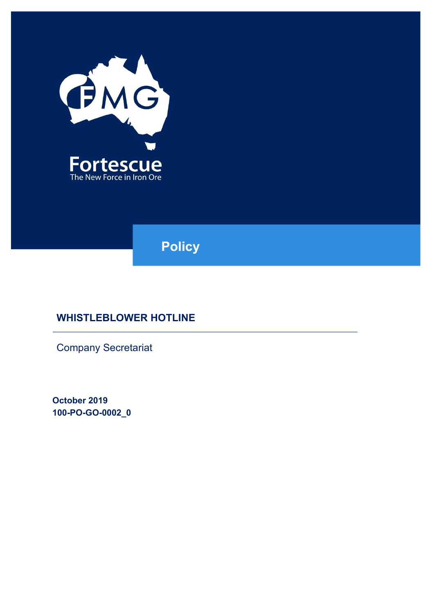

**Policy**

# **WHISTLEBLOWER HOTLINE**

Company Secretariat

**October 2019 100-PO-GO-0002\_0**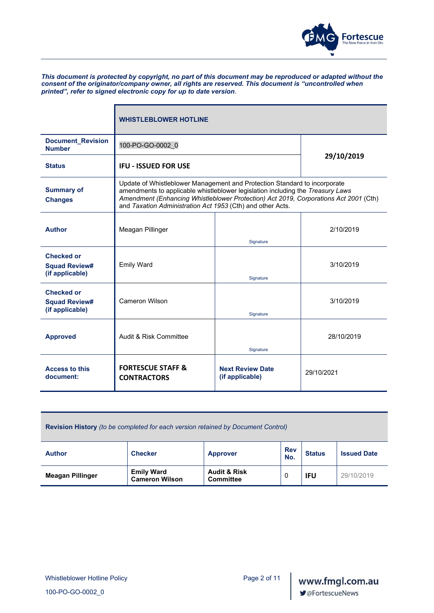

*This document is protected by copyright, no part of this document may be reproduced or adapted without the consent of the originator/company owner, all rights are reserved. This document is "uncontrolled when printed", refer to signed electronic copy for up to date version*.

|                                                              | <b>WHISTLEBLOWER HOTLINE</b>                                                                                                                                                                                                                                                                                      |                                            |            |  |
|--------------------------------------------------------------|-------------------------------------------------------------------------------------------------------------------------------------------------------------------------------------------------------------------------------------------------------------------------------------------------------------------|--------------------------------------------|------------|--|
| <b>Document_Revision</b><br><b>Number</b>                    | 100-PO-GO-0002 0                                                                                                                                                                                                                                                                                                  |                                            |            |  |
| <b>Status</b>                                                | <b>IFU - ISSUED FOR USE</b>                                                                                                                                                                                                                                                                                       |                                            | 29/10/2019 |  |
| <b>Summary of</b><br><b>Changes</b>                          | Update of Whistleblower Management and Protection Standard to incorporate<br>amendments to applicable whistleblower legislation including the Treasury Laws<br>Amendment (Enhancing Whistleblower Protection) Act 2019, Corporations Act 2001 (Cth)<br>and Taxation Administration Act 1953 (Cth) and other Acts. |                                            |            |  |
| <b>Author</b>                                                | Meagan Pillinger                                                                                                                                                                                                                                                                                                  | Signature                                  | 2/10/2019  |  |
| <b>Checked or</b><br><b>Squad Review#</b><br>(if applicable) | <b>Emily Ward</b>                                                                                                                                                                                                                                                                                                 | Signature                                  | 3/10/2019  |  |
| <b>Checked or</b><br><b>Squad Review#</b><br>(if applicable) | <b>Cameron Wilson</b>                                                                                                                                                                                                                                                                                             | Signature                                  | 3/10/2019  |  |
| <b>Approved</b>                                              | Audit & Risk Committee                                                                                                                                                                                                                                                                                            | Signature                                  | 28/10/2019 |  |
| <b>Access to this</b><br>document:                           | <b>FORTESCUE STAFF &amp;</b><br><b>CONTRACTORS</b>                                                                                                                                                                                                                                                                | <b>Next Review Date</b><br>(if applicable) | 29/10/2021 |  |

**Revision History** *(to be completed for each version retained by Document Control)*

| <b>Author</b>           | <b>Checker</b>                             | <b>Approver</b>                             | <b>Rev</b><br>No. | <b>Status</b> | <b>Issued Date</b> |
|-------------------------|--------------------------------------------|---------------------------------------------|-------------------|---------------|--------------------|
| <b>Meagan Pillinger</b> | <b>Emily Ward</b><br><b>Cameron Wilson</b> | <b>Audit &amp; Risk</b><br><b>Committee</b> |                   | <b>IFU</b>    | 29/10/2019         |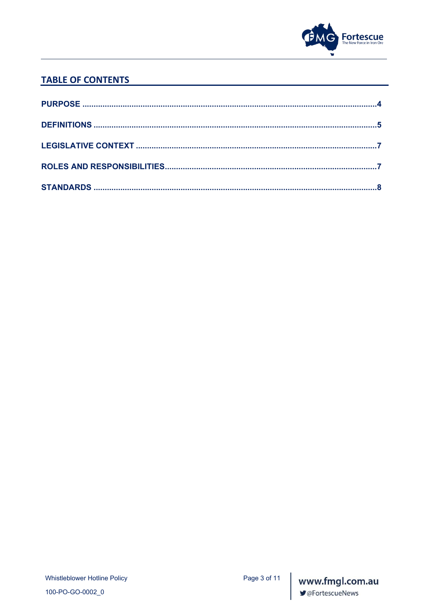

# **TABLE OF CONTENTS**

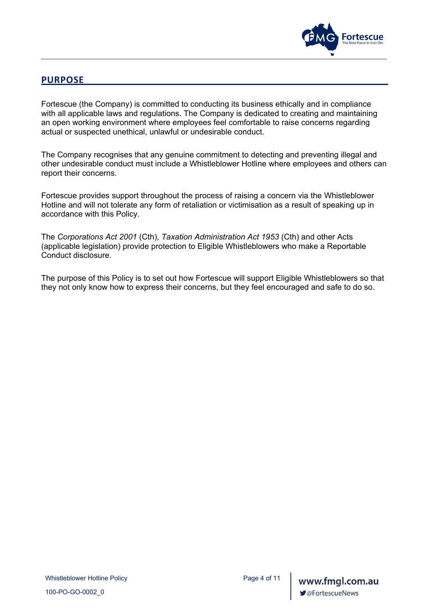

### **PURPOSE**

<span id="page-3-0"></span>Fortescue (the Company) is committed to conducting its business ethically and in compliance with all applicable laws and regulations. The Company is dedicated to creating and maintaining an open working environment where employees feel comfortable to raise concerns regarding actual or suspected unethical, unlawful or undesirable conduct.

The Company recognises that any genuine commitment to detecting and preventing illegal and other undesirable conduct must include a Whistleblower Hotline where employees and others can report their concerns.

Fortescue provides support throughout the process of raising a concern via the Whistleblower Hotline and will not tolerate any form of retaliation or victimisation as a result of speaking up in accordance with this Policy.

The *Corporations Act 2001* (Cth), *Taxation Administration Act 1953* (Cth) and other Acts (applicable legislation) provide protection to Eligible Whistleblowers who make a Reportable Conduct disclosure.

The purpose of this Policy is to set out how Fortescue will support Eligible Whistleblowers so that they not only know how to express their concerns, but they feel encouraged and safe to do so.

100-PO-GO-0002\_0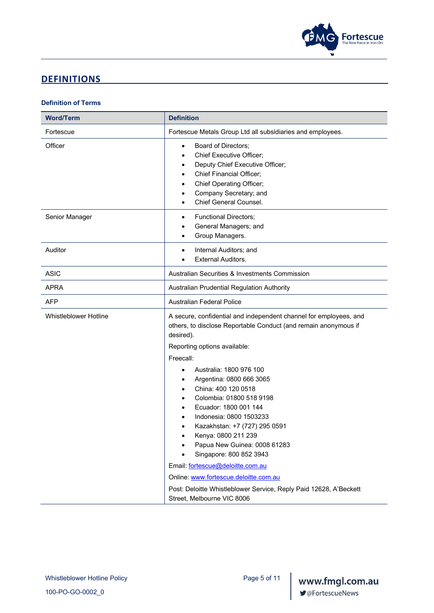

# <span id="page-4-0"></span>**DEFINITIONS**

#### **Definition of Terms**

| <b>Word/Term</b>             | <b>Definition</b>                                                                                                                                                                                                                                                                                                                                                                                                                                                                                                                                                                                                                 |  |
|------------------------------|-----------------------------------------------------------------------------------------------------------------------------------------------------------------------------------------------------------------------------------------------------------------------------------------------------------------------------------------------------------------------------------------------------------------------------------------------------------------------------------------------------------------------------------------------------------------------------------------------------------------------------------|--|
| Fortescue                    | Fortescue Metals Group Ltd all subsidiaries and employees.                                                                                                                                                                                                                                                                                                                                                                                                                                                                                                                                                                        |  |
| Officer                      | Board of Directors;<br>$\bullet$<br><b>Chief Executive Officer;</b><br>Deputy Chief Executive Officer;<br><b>Chief Financial Officer;</b><br><b>Chief Operating Officer;</b><br>Company Secretary; and<br>Chief General Counsel.                                                                                                                                                                                                                                                                                                                                                                                                  |  |
| Senior Manager               | <b>Functional Directors;</b><br>٠<br>General Managers; and<br>Group Managers.                                                                                                                                                                                                                                                                                                                                                                                                                                                                                                                                                     |  |
| Auditor                      | Internal Auditors; and<br><b>External Auditors.</b>                                                                                                                                                                                                                                                                                                                                                                                                                                                                                                                                                                               |  |
| <b>ASIC</b>                  | Australian Securities & Investments Commission                                                                                                                                                                                                                                                                                                                                                                                                                                                                                                                                                                                    |  |
| <b>APRA</b>                  | Australian Prudential Regulation Authority                                                                                                                                                                                                                                                                                                                                                                                                                                                                                                                                                                                        |  |
| <b>AFP</b>                   | <b>Australian Federal Police</b>                                                                                                                                                                                                                                                                                                                                                                                                                                                                                                                                                                                                  |  |
| <b>Whistleblower Hotline</b> | A secure, confidential and independent channel for employees, and<br>others, to disclose Reportable Conduct (and remain anonymous if<br>desired).<br>Reporting options available:<br>Freecall:<br>Australia: 1800 976 100<br>Argentina: 0800 666 3065<br>China: 400 120 0518<br>Colombia: 01800 518 9198<br>Ecuador: 1800 001 144<br>Indonesia: 0800 1503233<br>Kazakhstan: +7 (727) 295 0591<br>Kenya: 0800 211 239<br>Papua New Guinea: 0008 61283<br>Singapore: 800 852 3943<br>Email: fortescue@deloitte.com.au<br>Online: www.fortescue.deloitte.com.au<br>Post: Deloitte Whistleblower Service, Reply Paid 12628, A'Beckett |  |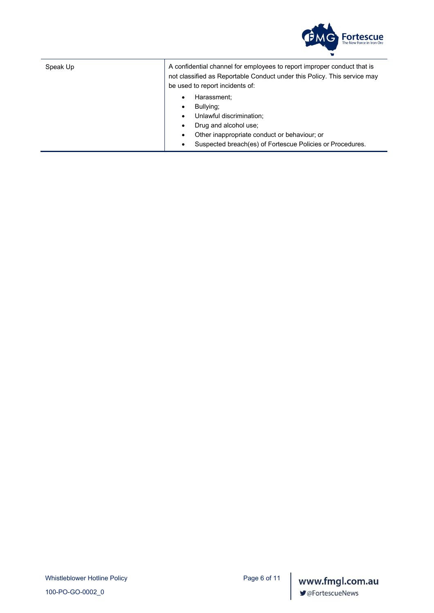

Speak Up  $\vert$  A confidential channel for employees to report improper conduct that is not classified as Reportable Conduct under this Policy. This service may be used to report incidents of:

- Harassment;
- Bullying;
- Unlawful discrimination;
- Drug and alcohol use;
- Other inappropriate conduct or behaviour; or
- Suspected breach(es) of Fortescue Policies or Procedures.

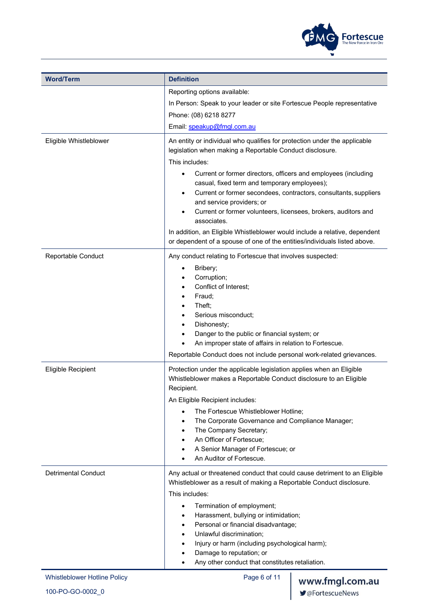

| <b>Word/Term</b>             | <b>Definition</b>                                                                                                                                                                                                                                                                                                                                                                                                                                                                                                                                                                                                      |                 |
|------------------------------|------------------------------------------------------------------------------------------------------------------------------------------------------------------------------------------------------------------------------------------------------------------------------------------------------------------------------------------------------------------------------------------------------------------------------------------------------------------------------------------------------------------------------------------------------------------------------------------------------------------------|-----------------|
|                              | Reporting options available:                                                                                                                                                                                                                                                                                                                                                                                                                                                                                                                                                                                           |                 |
|                              | In Person: Speak to your leader or site Fortescue People representative                                                                                                                                                                                                                                                                                                                                                                                                                                                                                                                                                |                 |
|                              | Phone: (08) 6218 8277                                                                                                                                                                                                                                                                                                                                                                                                                                                                                                                                                                                                  |                 |
|                              | Email: speakup@fmgl.com.au                                                                                                                                                                                                                                                                                                                                                                                                                                                                                                                                                                                             |                 |
| Eligible Whistleblower       | An entity or individual who qualifies for protection under the applicable<br>legislation when making a Reportable Conduct disclosure.<br>This includes:<br>Current or former directors, officers and employees (including<br>casual, fixed term and temporary employees);<br>Current or former secondees, contractors, consultants, suppliers<br>and service providers; or<br>Current or former volunteers, licensees, brokers, auditors and<br>associates.<br>In addition, an Eligible Whistleblower would include a relative, dependent<br>or dependent of a spouse of one of the entities/individuals listed above. |                 |
| Reportable Conduct           | Any conduct relating to Fortescue that involves suspected:<br>Bribery;<br>Corruption;<br>Conflict of Interest;<br>Fraud;<br>Theft;<br>Serious misconduct;<br>Dishonesty;<br>Danger to the public or financial system; or<br>An improper state of affairs in relation to Fortescue.<br>Reportable Conduct does not include personal work-related grievances.                                                                                                                                                                                                                                                            |                 |
| Eligible Recipient           | Protection under the applicable legislation applies when an Eligible<br>Whistleblower makes a Reportable Conduct disclosure to an Eligible<br>Recipient.<br>An Eligible Recipient includes:                                                                                                                                                                                                                                                                                                                                                                                                                            |                 |
|                              | The Fortescue Whistleblower Hotline;<br>The Corporate Governance and Compliance Manager;<br>The Company Secretary;<br>An Officer of Fortescue;<br>A Senior Manager of Fortescue; or<br>An Auditor of Fortescue.                                                                                                                                                                                                                                                                                                                                                                                                        |                 |
| <b>Detrimental Conduct</b>   | Any actual or threatened conduct that could cause detriment to an Eligible<br>Whistleblower as a result of making a Reportable Conduct disclosure.<br>This includes:<br>Termination of employment;<br>$\bullet$<br>Harassment, bullying or intimidation;<br>Personal or financial disadvantage;<br>Unlawful discrimination;<br>Injury or harm (including psychological harm);<br>Damage to reputation; or<br>Any other conduct that constitutes retaliation.                                                                                                                                                           |                 |
| Whistleblower Hotline Policy | Page 6 of 11                                                                                                                                                                                                                                                                                                                                                                                                                                                                                                                                                                                                           | www.fmgl.com.au |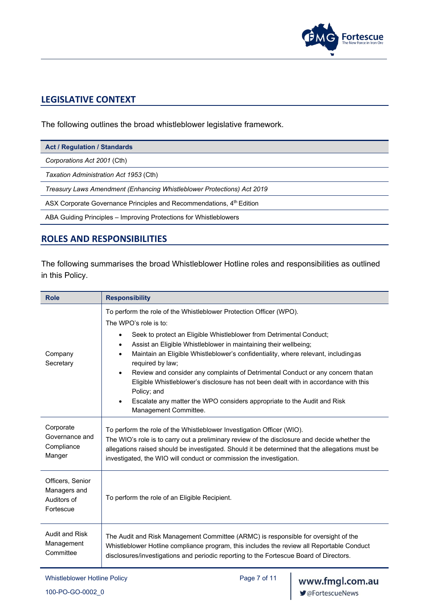

# <span id="page-7-0"></span>**LEGISLATIVE CONTEXT**

The following outlines the broad whistleblower legislative framework.

*Corporations Act 2001* (Cth)

*Taxation Administration Act 1953* (Cth)

*Treasury Laws Amendment (Enhancing Whistleblower Protections) Act 2019*

ASX Corporate Governance Principles and Recommendations, 4<sup>th</sup> Edition

ABA Guiding Principles – Improving Protections for Whistleblowers

## <span id="page-7-1"></span>**ROLES AND RESPONSIBILITIES**

The following summarises the broad Whistleblower Hotline roles and responsibilities as outlined in this Policy.

| <b>Role</b>                                                  | <b>Responsibility</b>                                                                                                                                                                                                                                                                                                                                                                                                                                                                                                                                                                                                                                                                    |  |
|--------------------------------------------------------------|------------------------------------------------------------------------------------------------------------------------------------------------------------------------------------------------------------------------------------------------------------------------------------------------------------------------------------------------------------------------------------------------------------------------------------------------------------------------------------------------------------------------------------------------------------------------------------------------------------------------------------------------------------------------------------------|--|
| Company<br>Secretary                                         | To perform the role of the Whistleblower Protection Officer (WPO).<br>The WPO's role is to:<br>Seek to protect an Eligible Whistleblower from Detrimental Conduct;<br>٠<br>Assist an Eligible Whistleblower in maintaining their wellbeing;<br>Maintain an Eligible Whistleblower's confidentiality, where relevant, includingas<br>$\bullet$<br>required by law;<br>Review and consider any complaints of Detrimental Conduct or any concern thatan<br>$\bullet$<br>Eligible Whistleblower's disclosure has not been dealt with in accordance with this<br>Policy; and<br>Escalate any matter the WPO considers appropriate to the Audit and Risk<br>$\bullet$<br>Management Committee. |  |
| Corporate<br>Governance and<br>Compliance<br>Manger          | To perform the role of the Whistleblower Investigation Officer (WIO).<br>The WIO's role is to carry out a preliminary review of the disclosure and decide whether the<br>allegations raised should be investigated. Should it be determined that the allegations must be<br>investigated, the WIO will conduct or commission the investigation.                                                                                                                                                                                                                                                                                                                                          |  |
| Officers, Senior<br>Managers and<br>Auditors of<br>Fortescue | To perform the role of an Eligible Recipient.                                                                                                                                                                                                                                                                                                                                                                                                                                                                                                                                                                                                                                            |  |
| <b>Audit and Risk</b><br>Management<br>Committee             | The Audit and Risk Management Committee (ARMC) is responsible for oversight of the<br>Whistleblower Hotline compliance program, this includes the review all Reportable Conduct<br>disclosures/investigations and periodic reporting to the Fortescue Board of Directors.                                                                                                                                                                                                                                                                                                                                                                                                                |  |

Whistleblower Hotline Policy **Page 7 of 11**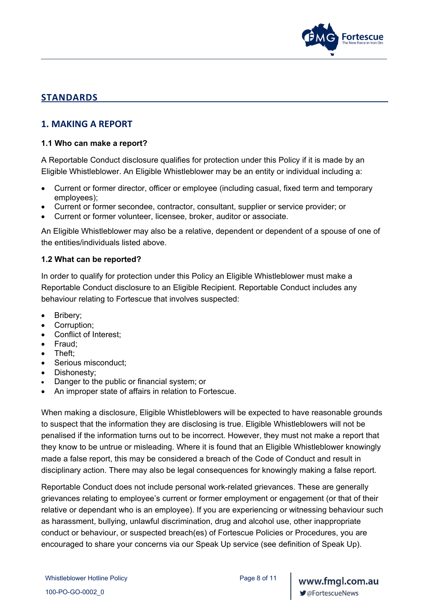

# <span id="page-8-0"></span>**STANDARDS**

## **1. MAKING A REPORT**

#### **1.1 Who can make a report?**

A Reportable Conduct disclosure qualifies for protection under this Policy if it is made by an Eligible Whistleblower. An Eligible Whistleblower may be an entity or individual including a:

- Current or former director, officer or employee (including casual, fixed term and temporary employees);
- Current or former secondee, contractor, consultant, supplier or service provider; or
- Current or former volunteer, licensee, broker, auditor or associate.

An Eligible Whistleblower may also be a relative, dependent or dependent of a spouse of one of the entities/individuals listed above.

### **1.2 What can be reported?**

In order to qualify for protection under this Policy an Eligible Whistleblower must make a Reportable Conduct disclosure to an Eligible Recipient. Reportable Conduct includes any behaviour relating to Fortescue that involves suspected:

- Bribery;
- Corruption;
- Conflict of Interest;
- Fraud;
- Theft;
- Serious misconduct;
- Dishonesty;
- Danger to the public or financial system; or
- An improper state of affairs in relation to Fortescue.

When making a disclosure, Eligible Whistleblowers will be expected to have reasonable grounds to suspect that the information they are disclosing is true. Eligible Whistleblowers will not be penalised if the information turns out to be incorrect. However, they must not make a report that they know to be untrue or misleading. Where it is found that an Eligible Whistleblower knowingly made a false report, this may be considered a breach of the Code of Conduct and result in disciplinary action. There may also be legal consequences for knowingly making a false report.

Reportable Conduct does not include personal work-related grievances. These are generally grievances relating to employee's current or former employment or engagement (or that of their relative or dependant who is an employee). If you are experiencing or witnessing behaviour such as harassment, bullying, unlawful discrimination, drug and alcohol use, other inappropriate conduct or behaviour, or suspected breach(es) of Fortescue Policies or Procedures, you are encouraged to share your concerns via our Speak Up service (see definition of Speak Up).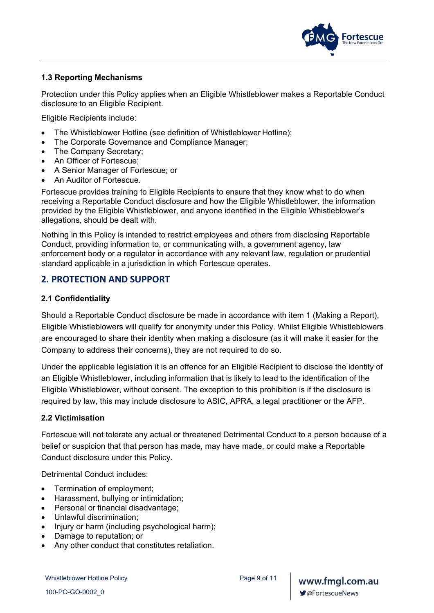

#### **1.3 Reporting Mechanisms**

Protection under this Policy applies when an Eligible Whistleblower makes a Reportable Conduct disclosure to an Eligible Recipient.

Eligible Recipients include:

- The Whistleblower Hotline (see definition of Whistleblower Hotline);
- The Corporate Governance and Compliance Manager;
- The Company Secretary;
- An Officer of Fortescue;
- A Senior Manager of Fortescue; or
- An Auditor of Fortescue.

Fortescue provides training to Eligible Recipients to ensure that they know what to do when receiving a Reportable Conduct disclosure and how the Eligible Whistleblower, the information provided by the Eligible Whistleblower, and anyone identified in the Eligible Whistleblower's allegations, should be dealt with.

Nothing in this Policy is intended to restrict employees and others from disclosing Reportable Conduct, providing information to, or communicating with, a government agency, law enforcement body or a regulator in accordance with any relevant law, regulation or prudential standard applicable in a jurisdiction in which Fortescue operates.

### **2. PROTECTION AND SUPPORT**

#### **2.1 Confidentiality**

Should a Reportable Conduct disclosure be made in accordance with item 1 (Making a Report), Eligible Whistleblowers will qualify for anonymity under this Policy. Whilst Eligible Whistleblowers are encouraged to share their identity when making a disclosure (as it will make it easier for the Company to address their concerns), they are not required to do so.

Under the applicable legislation it is an offence for an Eligible Recipient to disclose the identity of an Eligible Whistleblower, including information that is likely to lead to the identification of the Eligible Whistleblower, without consent. The exception to this prohibition is if the disclosure is required by law, this may include disclosure to ASIC, APRA, a legal practitioner or the AFP.

#### **2.2 Victimisation**

Fortescue will not tolerate any actual or threatened Detrimental Conduct to a person because of a belief or suspicion that that person has made, may have made, or could make a Reportable Conduct disclosure under this Policy.

Detrimental Conduct includes:

- Termination of employment;
- Harassment, bullying or intimidation;
- Personal or financial disadvantage;
- Unlawful discrimination;
- Injury or harm (including psychological harm);
- Damage to reputation; or
- Any other conduct that constitutes retaliation.

Whistleblower Hotline Policy **Page 9 of 11**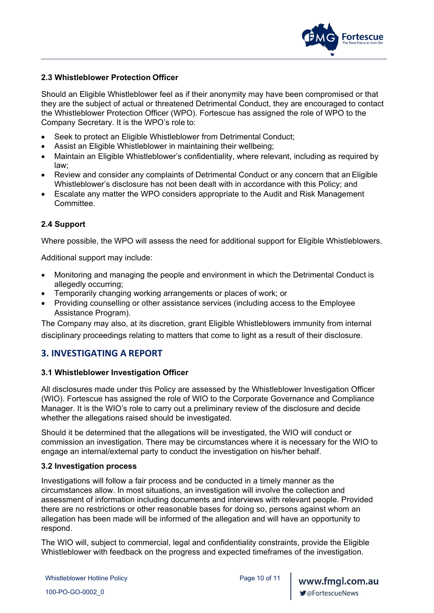

#### **2.3 Whistleblower Protection Officer**

Should an Eligible Whistleblower feel as if their anonymity may have been compromised or that they are the subject of actual or threatened Detrimental Conduct, they are encouraged to contact the Whistleblower Protection Officer (WPO). Fortescue has assigned the role of WPO to the Company Secretary. It is the WPO's role to:

- Seek to protect an Eligible Whistleblower from Detrimental Conduct;
- Assist an Eligible Whistleblower in maintaining their wellbeing;
- Maintain an Eligible Whistleblower's confidentiality, where relevant, including as required by law;
- Review and consider any complaints of Detrimental Conduct or any concern that an Eligible Whistleblower's disclosure has not been dealt with in accordance with this Policy; and
- Escalate any matter the WPO considers appropriate to the Audit and Risk Management Committee.

### **2.4 Support**

Where possible, the WPO will assess the need for additional support for Eligible Whistleblowers.

Additional support may include:

- Monitoring and managing the people and environment in which the Detrimental Conduct is allegedly occurring;
- Temporarily changing working arrangements or places of work; or
- Providing counselling or other assistance services (including access to the Employee Assistance Program).

The Company may also, at its discretion, grant Eligible Whistleblowers immunity from internal disciplinary proceedings relating to matters that come to light as a result of their disclosure.

## **3. INVESTIGATING A REPORT**

#### **3.1 Whistleblower Investigation Officer**

All disclosures made under this Policy are assessed by the Whistleblower Investigation Officer (WIO). Fortescue has assigned the role of WIO to the Corporate Governance and Compliance Manager. It is the WIO's role to carry out a preliminary review of the disclosure and decide whether the allegations raised should be investigated.

Should it be determined that the allegations will be investigated, the WIO will conduct or commission an investigation. There may be circumstances where it is necessary for the WIO to engage an internal/external party to conduct the investigation on his/her behalf.

#### **3.2 Investigation process**

Investigations will follow a fair process and be conducted in a timely manner as the circumstances allow. In most situations, an investigation will involve the collection and assessment of information including documents and interviews with relevant people. Provided there are no restrictions or other reasonable bases for doing so, persons against whom an allegation has been made will be informed of the allegation and will have an opportunity to respond.

The WIO will, subject to commercial, legal and confidentiality constraints, provide the Eligible Whistleblower with feedback on the progress and expected timeframes of the investigation.